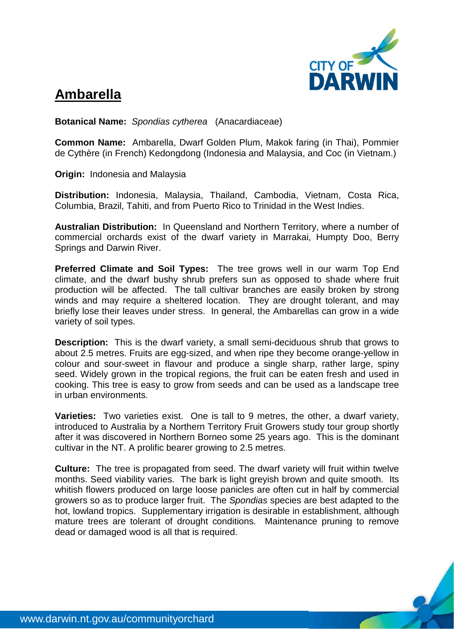

## **Ambarella**

**Botanical Name:** *Spondias cytherea* (Anacardiaceae)

**Common Name:** Ambarella, Dwarf Golden Plum, Makok faring (in Thai), Pommier de Cythère (in French) Kedongdong (Indonesia and Malaysia, and Coc (in Vietnam.)

**Origin:** Indonesia and Malaysia

**Distribution:** Indonesia, Malaysia, Thailand, Cambodia, Vietnam, Costa Rica, Columbia, Brazil, Tahiti, and from Puerto Rico to Trinidad in the West Indies.

**Australian Distribution:** In Queensland and Northern Territory, where a number of commercial orchards exist of the dwarf variety in Marrakai, Humpty Doo, Berry Springs and Darwin River.

**Preferred Climate and Soil Types:** The tree grows well in our warm Top End climate, and the dwarf bushy shrub prefers sun as opposed to shade where fruit production will be affected. The tall cultivar branches are easily broken by strong winds and may require a sheltered location. They are drought tolerant, and may briefly lose their leaves under stress. In general, the Ambarellas can grow in a wide variety of soil types.

**Description:** This is the dwarf variety, a small semi-deciduous shrub that grows to about 2.5 metres. Fruits are egg-sized, and when ripe they become orange-yellow in colour and sour-sweet in flavour and produce a single sharp, rather large, spiny seed. Widely grown in the tropical regions, the fruit can be eaten fresh and used in cooking. This tree is easy to grow from seeds and can be used as a landscape tree in urban environments.

**Varieties:** Two varieties exist. One is tall to 9 metres, the other, a dwarf variety, introduced to Australia by a Northern Territory Fruit Growers study tour group shortly after it was discovered in Northern Borneo some 25 years ago. This is the dominant cultivar in the NT. A prolific bearer growing to 2.5 metres.

**Culture:** The tree is propagated from seed. The dwarf variety will fruit within twelve months. Seed viability varies. The bark is light greyish brown and quite smooth. Its whitish flowers produced on large loose panicles are often cut in half by commercial growers so as to produce larger fruit. The *Spondias* species are best adapted to the hot, lowland tropics. Supplementary irrigation is desirable in establishment, although mature trees are tolerant of drought conditions. Maintenance pruning to remove dead or damaged wood is all that is required.